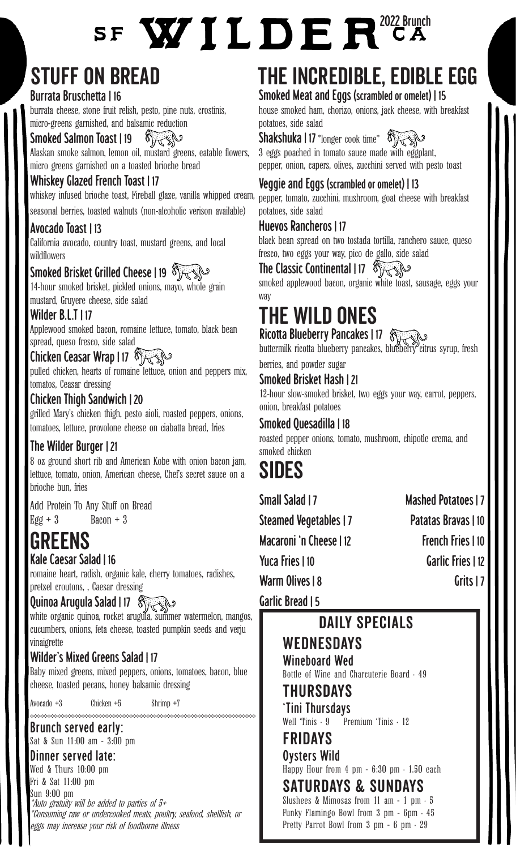# SF WILDER<sup>2022 Brunch</sup>

# Stuff on bread

#### Burrata Bruschetta | 16

burrata cheese, stone fruit relish, pesto, pine nuts, crostinis, micro-greens garnished, and balsamic reduction

Smoked Salmon Toast | 19  $\mathcal{O}_{\mathcal{H}}$ 

Alaskan smoke salmon, lemon oil, mustard greens, eatable flowers, micro greens garnished on a toasted brioche bread

#### Whiskey Glazed French Toast | 17

whiskey infused brioche toast, Fireball glaze, vanilla whipped cream,

seasonal berries, toasted walnuts (non-alcoholic verison available)

#### Avocado Toast | 13

California avocado, country toast, mustard greens, and local wildflowers

# Smoked Brisket Grilled Cheese | 19

14-hour smoked brisket, pickled onions, mayo, whole grain mustard, Gruyere cheese, side salad

#### Wilder B.L.T | 17

Applewood smoked bacon, romaine lettuce, tomato, black bean spread, queso fresco, side salad

## Chicken Ceasar Wrap | 17  $\sqrt[8]{\mathbb{C}^2}$

pulled chicken, hearts of romaine lettuce, onion and peppers mix, tomatos, Ceasar dressing

## Chicken Thigh Sandwich | 20

grilled Mary's chicken thigh, pesto aioli, roasted peppers, onions, tomatoes, lettuce, provolone cheese on ciabatta bread, fries

## The Wilder Burger | 21

8 oz ground short rib and American Kobe with onion bacon jam, lettuce, tomato, onion, American cheese, Chef's secret sauce on a brioche bun, fries

Add Protein To Any Stuff on Bread  $Egg + 3$  Bacon + 3

# Greens

## Kale Caesar Salad | 16

romaine heart, radish, organic kale, cherry tomatoes, radishes, pretzel croutons, , Caesar dressing

## Quinoa Arugula Salad | 17

white organic quinoa, rocket arugula, summer watermelon, mangos, cucumbers, onions, feta cheese, toasted pumpkin seeds and verju vinaigrette

#### Wilder's Mixed Greens Salad | 17

Baby mixed greens, mixed peppers, onions, tomatoes, bacon, blue cheese, toasted pecans, honey balsamic dressing

Avocado +3 Chicken +5 Shrimp +7

Brunch served early: Sat & Sun 11:00 am - 3:00 pm

#### Dinner served late:

\*Auto gratuity will be added to parties of 5+ \*Consuming raw or undercooked meats, poultry, seafood, shellfish, or eggs may increase your risk of foodborne illness Wed & Thurs 10:00 pm Fri & Sat 11:00 pm Sun 9:00 pm

# The Incredible, edible egg

Smoked Meat and Eggs (scrambled or omelet) | 15

house smoked ham, chorizo, onions, jack cheese, with breakfast potatoes, side salad

#### Shakshuka | 17 \*longer cook time\* 8 A

3 eggs poached in tomato sauce made with eggplant, pepper, onion, capers, olives, zucchini served with pesto toast

## Veggie and Eggs (scrambled or omelet) | 13

pepper, tomato, zucchini, mushroom, goat cheese with breakfast potatoes, side salad

#### Huevos Rancheros | 17

black bean spread on two tostada tortilla, ranchero sauce, queso fresco, two eggs your way, pico de gallo, side salad

# The Classic Continental | 17 8

smoked applewood bacon, organic white toast, sausage, eggs your way

# the Wild ones

Ricotta Blueberry Pancakes | 17 \$

buttermilk ricotta blueberry pancakes, blueberry citrus syrup, fresh berries, and powder sugar

#### Smoked Brisket Hash | 21

12-hour slow-smoked brisket, two eggs your way, carrot, peppers, onion, breakfast potatoes

#### Smoked Quesadilla | 18

roasted pepper onions, tomato, mushroom, chipotle crema, and smoked chicken

# **SIDES**

Small Salad | 7 Mashed Potatoes | 7 Steamed Vegetables | 7 Patatas Bravas | 10 Macaroni 'n Cheese | 12 French Fries | 10 Yuca Fries | 10 Garlic Fries | 12 Warm Olives | 8 Grits | 7

Garlic Bread | 5

# DAILY SPECIALS

# **WEDNESDAYS**

Wineboard Wed Bottle of Wine and Charcuterie Board • 49

# Thursdays

'Tini Thursdays Well 'Tinis · 9 Premium 'Tinis · 12

#### Fridays Oysters Wild

Happy Hour from  $4$  pm  $-6:30$  pm  $\cdot 1.50$  each

# Saturdays & Sundays

Slushees & Mimosas from 11 am - 1 pm  $\cdot$  5 Funky Flamingo Bowl from  $3$  pm - 6pm  $\cdot$  45 Pretty Parrot Bowl from 3 pm - 6 pm  $\cdot$  29